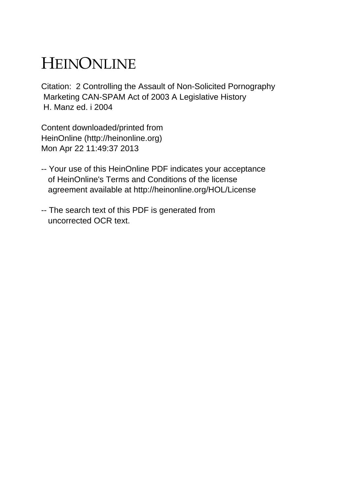## HEINONLINE

Citation: 2 Controlling the Assault of Non-Solicited Pornography Marketing CAN-SPAM Act of 2003 A Legislative History H. Manz ed. i 2004

Content downloaded/printed from HeinOnline (http://heinonline.org) Mon Apr 22 11:49:37 2013

- -- Your use of this HeinOnline PDF indicates your acceptance of HeinOnline's Terms and Conditions of the license agreement available at http://heinonline.org/HOL/License
- -- The search text of this PDF is generated from uncorrected OCR text.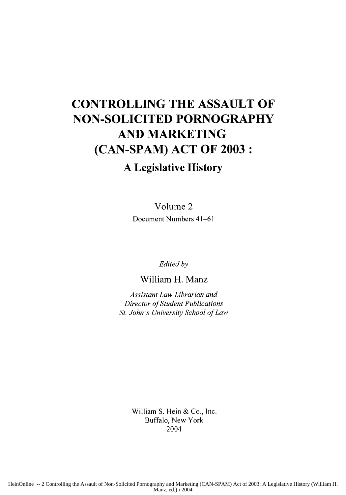## **CONTROLLING THE ASSAULT OF NON-SOLICITED PORNOGRAPHY AND MARKETING (CAN-SPAM) ACT OF 2003:**

## **A Legislative History**

Volume 2 Document Numbers 41-61

*Edited by*

William H. Manz

*Assistant Law Librarian and Director of Student Publications St. John's University School of Law*

> William **S. Hein &** Co., Inc. Buffalo, New York 2004